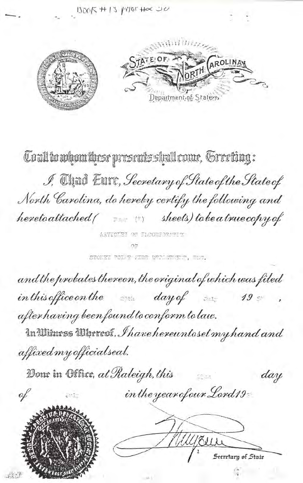

Co all to whom these presents shall come, Greeting :

J, That Euro, Secretary of State of the State of North Carolina, do hereby certify the following and heretoattached (Entertainments) to be a true copy of

ARTICLES OF TROOBEDRATER

STORED POINT WINE DWRIGHTER, THA.

and the probates thereon, the original of which was filed inthis office on the even day of sa  $19<sup>°</sup>$ after having been found to conform to law. In Witness Whereof, I have hereuntoset my hand and affixed my official seal. Done in Office, at Raleigh, this day in the year of our Lord 19 of Jitim Mari Secretary of State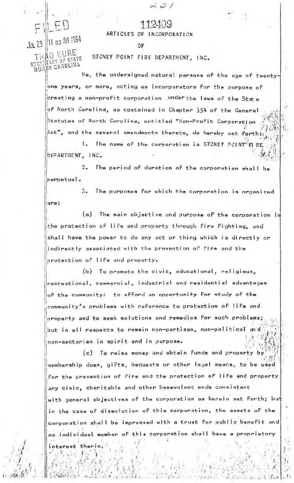## 112409

ARTICLES OF INCORPORATION

Jul 29 || 11 03 AH 1364

 $\Omega$ 

THAD EURE STONEY POINT FIRE DEPARTMENT, INC. SECUTIVAL OF STATE **TH CARDLINA** 

We, the undersigned natural persons of the age of twenty one years, or more, acting as incorporators for the purpose of creating a non-profit corporation under the laws of the State of North Carolina, as contained in Chapter 55A of the General Statutes of North Carolina, entitled "Non-Profit Corporation Act", and the several amendments thereto, do hereby set forth:

I. The name of the corporation is STONEY POINT"FIRE DEPARTMENT, INC.

2. The period of duration of the corporation shall be perpetual.

The purposes for which the corporation is organized  $3$ are:

(a) The main objective and purpose of the corporation is the protection of life and property through fire fighting, and shall have the power to do any act or thing which is directly or indirectly associated with the prevention of fire and the protection of life and property.

(b) To promote the civic, educational, religious, racreational, commercial, industrial and residential advantages of the community: to afford an opportunity for study of the community's problems with reference to protection of life and property and to seek solutions and remedies for such problems; but in all respects to remain non-partisan, non-political and non-sectarian in spirit and in purpose.

(c) To raise money and obtain funds and property by membership dues, gifts, bequests or other legal means, to be used for the prevention of fire and the protection of life and property any civic, charitable and other benevolent ends consistant with general objectives of the corporation as herein set forth; bu# in the case of dissolution of this corporation, the assets of the corporation shall be impressed with a trust for public benefit and no individual member of this corporation shall have a proprietory interest therin.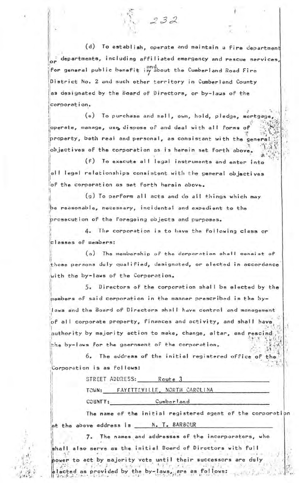(d) To establish, operate and maintain a fire department departments, including affiliated emergency and rescue services. for general public benefit in about the Cumberland Road Fire District No. 2 and such other territory in Cumberland County as designated by the Board of Directors, or by-laws of the corooration.

 $232$ 

(e) To purchase and sall, own, hold, pledge, mortgage operate, manage, use disoose of and deal with all forms of property, both real and personal, as consistant with the genera objectives of the corporation as is herein set forth above.

(f) To exacute all legal instruments and enter into all legal relationships consistent with the general objectives of the corporation as set forth hersin above.

(g) To perform all acts and do all things which may be reasonable, necessary, incidental and expedient to the prosecution of the foregoing objects and purposes.

4. The corporation is to have the following class or classes of members:

(a) The membership of the corporation shall consist of those persons duly qualified, designated, or elected in accordance with the by-laws of the Corporation.

5. Directors of the corporation shall be elected by the members of said corporation in the manner prescribed in the bylaws and the Board of Directors shall have control and management of all corporate property, finances and activity, and shall have authority by majority action to make, change, altar, and rescind. the by-laws for the goernment of the corporation,

6. The address of the initial registered office of the Corporation is as follows:

STREET ADDRESS: Route 3

TOWN: FAYETTEVILLE, NORTH CAROLINA

COUNTY: Cumberland

The name of the initial registered agent of the corporation at the above address is N. T. BARBOUR

7. The names and addresses of the incorporators, who shall also serve as the initial Board of Directors with full bower to act by majority vote until their successors are duly lacted as provided by the by-laws, are as follows: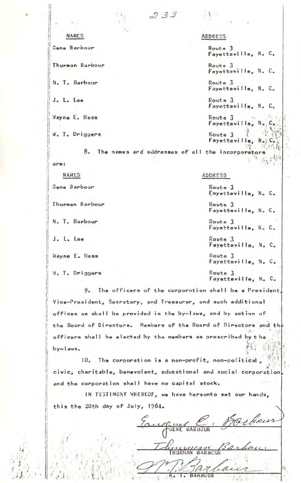**NAMES** 

Gene Barbour

Thurman Barbour

N. T. Barbour

J. L. Lee

Wayne E. Hess

W. T. Driggers

Route 3 Fayetteville Route 3 Fayetteville,  $\rightarrow$  C.

8. The names ard addresses of all the incorporators 药理 are:

 $233$ 

NAMES

Gene Barbour

Thurman Barbour

N. T. Barbour

J. L. Lee

Wayne E. Iless

W. T. Driggers

ADDRESS

**ADDRESS** 

Route 3

Route 3

Route 3

Route 3

Fayetteville, N. C.

Fayetteville, N. C.

Fayetteville, N. C.

Fayetteville, N. C.

Route 3 Fayetteville, N. C. Route 3 Fayetteville, N. C. Route 3 Fayetteville, N. C. Route 3 Fayetteville, N. C. Route 3 Fayetteville, N. C. Route 3

Fayatteville, N. C.

9. The officers of the corporation shall be a President, Vice-President, Secretary, and Treasurer, and such additional offices as shall be provided in the by-laws, and by action of the Board of Directors. Members of the Board of Directors and the officers shall be elected by the members as prescribed by the by-laws.

10. The corporation is a non-profit, non-political civic, charitable, benevolent, educational and social corporation and the corporation shall have no capital stock.

IN TESTINONY WHEREOF, we have hereunto set our hands, this the 20th day of July, 1964.

Barbour Erceffine **BARBOU** 

**BARBUU** 

 $-\alpha$